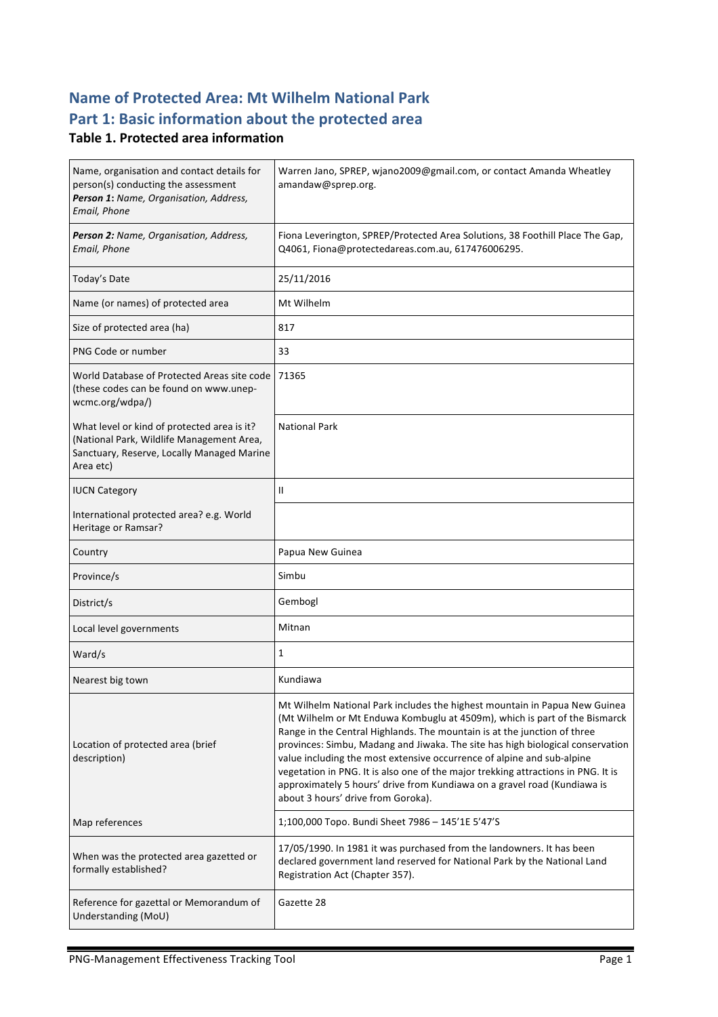# **Name of Protected Area: Mt Wilhelm National Park** Part 1: Basic information about the protected area

### **Table 1. Protected area information**

| Name, organisation and contact details for<br>person(s) conducting the assessment<br>Person 1: Name, Organisation, Address,<br>Email, Phone         | Warren Jano, SPREP, wjano2009@gmail.com, or contact Amanda Wheatley<br>amandaw@sprep.org.                                                                                                                                                                                                                                                                                                                                                                                                                                                                                                               |
|-----------------------------------------------------------------------------------------------------------------------------------------------------|---------------------------------------------------------------------------------------------------------------------------------------------------------------------------------------------------------------------------------------------------------------------------------------------------------------------------------------------------------------------------------------------------------------------------------------------------------------------------------------------------------------------------------------------------------------------------------------------------------|
| Person 2: Name, Organisation, Address,<br>Email, Phone                                                                                              | Fiona Leverington, SPREP/Protected Area Solutions, 38 Foothill Place The Gap,<br>Q4061, Fiona@protectedareas.com.au, 617476006295.                                                                                                                                                                                                                                                                                                                                                                                                                                                                      |
| Today's Date                                                                                                                                        | 25/11/2016                                                                                                                                                                                                                                                                                                                                                                                                                                                                                                                                                                                              |
| Name (or names) of protected area                                                                                                                   | Mt Wilhelm                                                                                                                                                                                                                                                                                                                                                                                                                                                                                                                                                                                              |
| Size of protected area (ha)                                                                                                                         | 817                                                                                                                                                                                                                                                                                                                                                                                                                                                                                                                                                                                                     |
| PNG Code or number                                                                                                                                  | 33                                                                                                                                                                                                                                                                                                                                                                                                                                                                                                                                                                                                      |
| World Database of Protected Areas site code<br>(these codes can be found on www.unep-<br>wcmc.org/wdpa/)                                            | 71365                                                                                                                                                                                                                                                                                                                                                                                                                                                                                                                                                                                                   |
| What level or kind of protected area is it?<br>(National Park, Wildlife Management Area,<br>Sanctuary, Reserve, Locally Managed Marine<br>Area etc) | <b>National Park</b>                                                                                                                                                                                                                                                                                                                                                                                                                                                                                                                                                                                    |
| <b>IUCN Category</b>                                                                                                                                | Ш                                                                                                                                                                                                                                                                                                                                                                                                                                                                                                                                                                                                       |
| International protected area? e.g. World<br>Heritage or Ramsar?                                                                                     |                                                                                                                                                                                                                                                                                                                                                                                                                                                                                                                                                                                                         |
| Country                                                                                                                                             | Papua New Guinea                                                                                                                                                                                                                                                                                                                                                                                                                                                                                                                                                                                        |
| Province/s                                                                                                                                          | Simbu                                                                                                                                                                                                                                                                                                                                                                                                                                                                                                                                                                                                   |
|                                                                                                                                                     |                                                                                                                                                                                                                                                                                                                                                                                                                                                                                                                                                                                                         |
| District/s                                                                                                                                          | Gembogl                                                                                                                                                                                                                                                                                                                                                                                                                                                                                                                                                                                                 |
| Local level governments                                                                                                                             | Mitnan                                                                                                                                                                                                                                                                                                                                                                                                                                                                                                                                                                                                  |
| Ward/s                                                                                                                                              | $\mathbf{1}$                                                                                                                                                                                                                                                                                                                                                                                                                                                                                                                                                                                            |
| Nearest big town                                                                                                                                    | Kundiawa                                                                                                                                                                                                                                                                                                                                                                                                                                                                                                                                                                                                |
| Location of protected area (brief<br>description)                                                                                                   | Mt Wilhelm National Park includes the highest mountain in Papua New Guinea<br>(Mt Wilhelm or Mt Enduwa Kombuglu at 4509m), which is part of the Bismarck<br>Range in the Central Highlands. The mountain is at the junction of three<br>provinces: Simbu, Madang and Jiwaka. The site has high biological conservation<br>value including the most extensive occurrence of alpine and sub-alpine<br>vegetation in PNG. It is also one of the major trekking attractions in PNG. It is<br>approximately 5 hours' drive from Kundiawa on a gravel road (Kundiawa is<br>about 3 hours' drive from Goroka). |
| Map references                                                                                                                                      | 1;100,000 Topo. Bundi Sheet 7986 - 145'1E 5'47'S                                                                                                                                                                                                                                                                                                                                                                                                                                                                                                                                                        |
| When was the protected area gazetted or<br>formally established?                                                                                    | 17/05/1990. In 1981 it was purchased from the landowners. It has been<br>declared government land reserved for National Park by the National Land<br>Registration Act (Chapter 357).                                                                                                                                                                                                                                                                                                                                                                                                                    |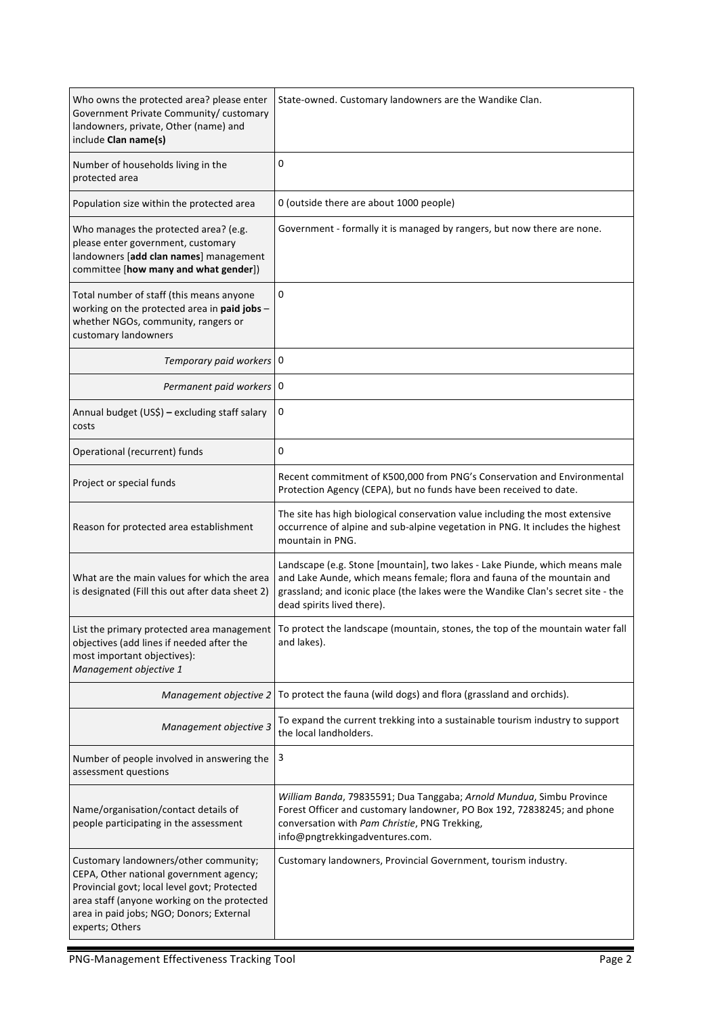| Who owns the protected area? please enter<br>Government Private Community/ customary<br>landowners, private, Other (name) and<br>include Clan name(s)                                                                                          | State-owned. Customary landowners are the Wandike Clan.                                                                                                                                                                                                                  |
|------------------------------------------------------------------------------------------------------------------------------------------------------------------------------------------------------------------------------------------------|--------------------------------------------------------------------------------------------------------------------------------------------------------------------------------------------------------------------------------------------------------------------------|
| Number of households living in the<br>protected area                                                                                                                                                                                           | 0                                                                                                                                                                                                                                                                        |
| Population size within the protected area                                                                                                                                                                                                      | 0 (outside there are about 1000 people)                                                                                                                                                                                                                                  |
| Who manages the protected area? (e.g.<br>please enter government, customary<br>landowners [add clan names] management<br>committee [how many and what gender])                                                                                 | Government - formally it is managed by rangers, but now there are none.                                                                                                                                                                                                  |
| Total number of staff (this means anyone<br>working on the protected area in paid jobs -<br>whether NGOs, community, rangers or<br>customary landowners                                                                                        | 0                                                                                                                                                                                                                                                                        |
| Temporary paid workers 0                                                                                                                                                                                                                       |                                                                                                                                                                                                                                                                          |
| Permanent paid workers 0                                                                                                                                                                                                                       |                                                                                                                                                                                                                                                                          |
| Annual budget (US\$) - excluding staff salary<br>costs                                                                                                                                                                                         | 0                                                                                                                                                                                                                                                                        |
| Operational (recurrent) funds                                                                                                                                                                                                                  | 0                                                                                                                                                                                                                                                                        |
| Project or special funds                                                                                                                                                                                                                       | Recent commitment of K500,000 from PNG's Conservation and Environmental<br>Protection Agency (CEPA), but no funds have been received to date.                                                                                                                            |
| Reason for protected area establishment                                                                                                                                                                                                        | The site has high biological conservation value including the most extensive<br>occurrence of alpine and sub-alpine vegetation in PNG. It includes the highest<br>mountain in PNG.                                                                                       |
| What are the main values for which the area<br>is designated (Fill this out after data sheet 2)                                                                                                                                                | Landscape (e.g. Stone [mountain], two lakes - Lake Piunde, which means male<br>and Lake Aunde, which means female; flora and fauna of the mountain and<br>grassland; and iconic place (the lakes were the Wandike Clan's secret site - the<br>dead spirits lived there). |
| List the primary protected area management<br>objectives (add lines if needed after the<br>most important objectives):<br>Management objective 1                                                                                               | To protect the landscape (mountain, stones, the top of the mountain water fall<br>and lakes).                                                                                                                                                                            |
| Management objective 2                                                                                                                                                                                                                         | To protect the fauna (wild dogs) and flora (grassland and orchids).                                                                                                                                                                                                      |
| Management objective 3                                                                                                                                                                                                                         | To expand the current trekking into a sustainable tourism industry to support<br>the local landholders.                                                                                                                                                                  |
| Number of people involved in answering the<br>assessment questions                                                                                                                                                                             | 3                                                                                                                                                                                                                                                                        |
| Name/organisation/contact details of<br>people participating in the assessment                                                                                                                                                                 | William Banda, 79835591; Dua Tanggaba; Arnold Mundua, Simbu Province<br>Forest Officer and customary landowner, PO Box 192, 72838245; and phone<br>conversation with Pam Christie, PNG Trekking,<br>info@pngtrekkingadventures.com.                                      |
| Customary landowners/other community;<br>CEPA, Other national government agency;<br>Provincial govt; local level govt; Protected<br>area staff (anyone working on the protected<br>area in paid jobs; NGO; Donors; External<br>experts; Others | Customary landowners, Provincial Government, tourism industry.                                                                                                                                                                                                           |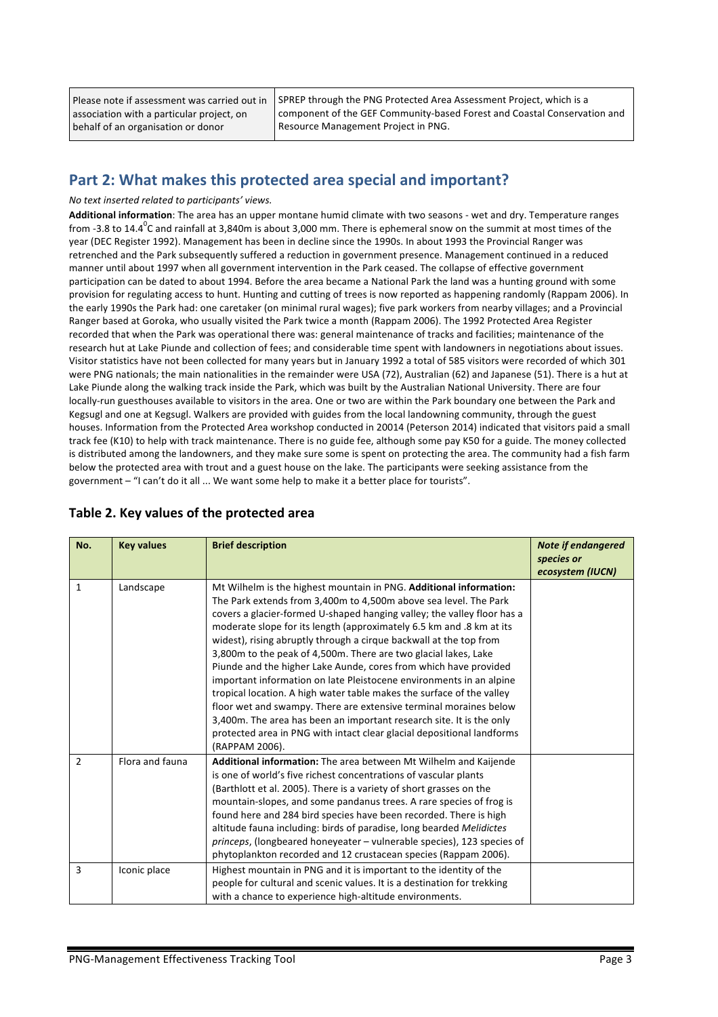Please note if assessment was carried out in association with a particular project, on behalf of an organisation or donor

SPREP through the PNG Protected Area Assessment Project, which is a component of the GEF Community-based Forest and Coastal Conservation and Resource Management Project in PNG.

### Part 2: What makes this protected area special and important?

#### *No text inserted related to participants' views.*

Additional information: The area has an upper montane humid climate with two seasons - wet and dry. Temperature ranges from -3.8 to 14.4<sup>0</sup>C and rainfall at 3,840m is about 3,000 mm. There is ephemeral snow on the summit at most times of the year (DEC Register 1992). Management has been in decline since the 1990s. In about 1993 the Provincial Ranger was retrenched and the Park subsequently suffered a reduction in government presence. Management continued in a reduced manner until about 1997 when all government intervention in the Park ceased. The collapse of effective government participation can be dated to about 1994. Before the area became a National Park the land was a hunting ground with some provision for regulating access to hunt. Hunting and cutting of trees is now reported as happening randomly (Rappam 2006). In the early 1990s the Park had: one caretaker (on minimal rural wages); five park workers from nearby villages; and a Provincial Ranger based at Goroka, who usually visited the Park twice a month (Rappam 2006). The 1992 Protected Area Register recorded that when the Park was operational there was: general maintenance of tracks and facilities; maintenance of the research hut at Lake Piunde and collection of fees; and considerable time spent with landowners in negotiations about issues. Visitor statistics have not been collected for many years but in January 1992 a total of 585 visitors were recorded of which 301 were PNG nationals; the main nationalities in the remainder were USA (72), Australian (62) and Japanese (51). There is a hut at Lake Piunde along the walking track inside the Park, which was built by the Australian National University. There are four locally-run guesthouses available to visitors in the area. One or two are within the Park boundary one between the Park and Kegsugl and one at Kegsugl. Walkers are provided with guides from the local landowning community, through the guest houses. Information from the Protected Area workshop conducted in 20014 (Peterson 2014) indicated that visitors paid a small track fee (K10) to help with track maintenance. There is no guide fee, although some pay K50 for a guide. The money collected is distributed among the landowners, and they make sure some is spent on protecting the area. The community had a fish farm below the protected area with trout and a guest house on the lake. The participants were seeking assistance from the government - "I can't do it all ... We want some help to make it a better place for tourists".

|  |  |  | Table 2. Key values of the protected area |  |
|--|--|--|-------------------------------------------|--|
|--|--|--|-------------------------------------------|--|

| No.            | <b>Key values</b> | <b>Brief description</b>                                                                                                                                                                                                                                                                                                                                                                                                                                                                                                                                                                                                                                                                                                                                                                                                                                                                        | <b>Note if endangered</b><br>species or<br>ecosystem (IUCN) |
|----------------|-------------------|-------------------------------------------------------------------------------------------------------------------------------------------------------------------------------------------------------------------------------------------------------------------------------------------------------------------------------------------------------------------------------------------------------------------------------------------------------------------------------------------------------------------------------------------------------------------------------------------------------------------------------------------------------------------------------------------------------------------------------------------------------------------------------------------------------------------------------------------------------------------------------------------------|-------------------------------------------------------------|
| $\mathbf{1}$   | Landscape         | Mt Wilhelm is the highest mountain in PNG. Additional information:<br>The Park extends from 3,400m to 4,500m above sea level. The Park<br>covers a glacier-formed U-shaped hanging valley; the valley floor has a<br>moderate slope for its length (approximately 6.5 km and .8 km at its<br>widest), rising abruptly through a cirque backwall at the top from<br>3,800m to the peak of 4,500m. There are two glacial lakes, Lake<br>Piunde and the higher Lake Aunde, cores from which have provided<br>important information on late Pleistocene environments in an alpine<br>tropical location. A high water table makes the surface of the valley<br>floor wet and swampy. There are extensive terminal moraines below<br>3,400m. The area has been an important research site. It is the only<br>protected area in PNG with intact clear glacial depositional landforms<br>(RAPPAM 2006). |                                                             |
| $\overline{2}$ | Flora and fauna   | Additional information: The area between Mt Wilhelm and Kaijende<br>is one of world's five richest concentrations of vascular plants<br>(Barthlott et al. 2005). There is a variety of short grasses on the<br>mountain-slopes, and some pandanus trees. A rare species of frog is<br>found here and 284 bird species have been recorded. There is high<br>altitude fauna including: birds of paradise, long bearded Melidictes<br>princeps, (longbeared honeyeater - vulnerable species), 123 species of<br>phytoplankton recorded and 12 crustacean species (Rappam 2006).                                                                                                                                                                                                                                                                                                                    |                                                             |
| 3              | Iconic place      | Highest mountain in PNG and it is important to the identity of the<br>people for cultural and scenic values. It is a destination for trekking<br>with a chance to experience high-altitude environments.                                                                                                                                                                                                                                                                                                                                                                                                                                                                                                                                                                                                                                                                                        |                                                             |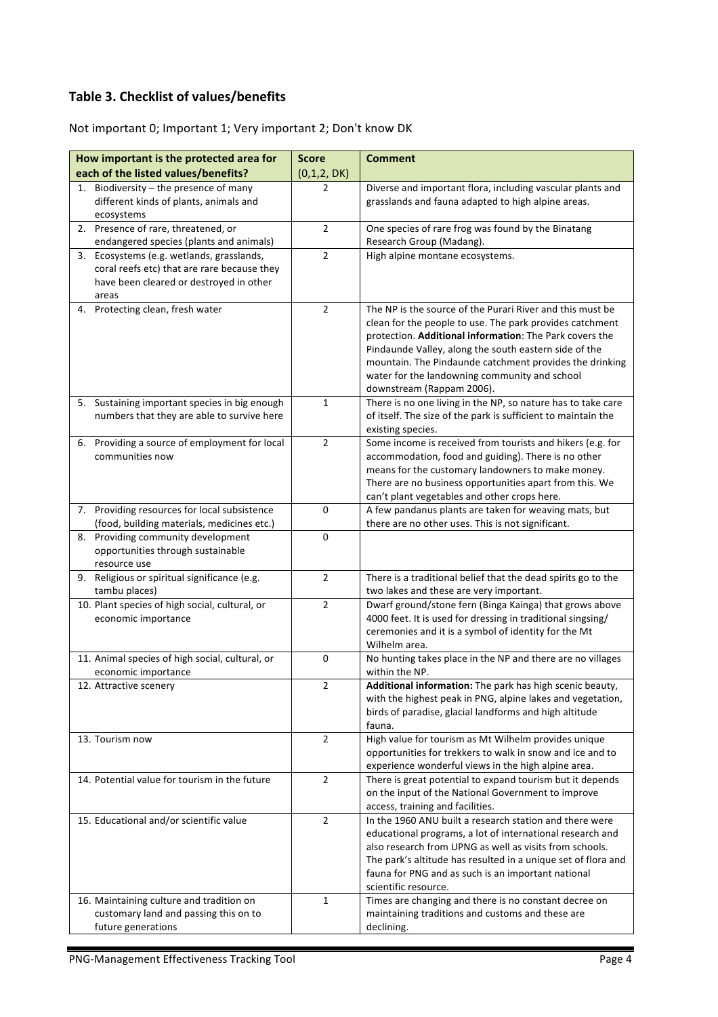### **Table 3. Checklist of values/benefits**

Not important 0; Important 1; Very important 2; Don't know DK

| How important is the protected area for                                                                                                                                                 | <b>Score</b>   | <b>Comment</b>                                                                                                                                                                                                                                                                                                                                                                     |
|-----------------------------------------------------------------------------------------------------------------------------------------------------------------------------------------|----------------|------------------------------------------------------------------------------------------------------------------------------------------------------------------------------------------------------------------------------------------------------------------------------------------------------------------------------------------------------------------------------------|
| each of the listed values/benefits?                                                                                                                                                     | (0,1,2,DK)     |                                                                                                                                                                                                                                                                                                                                                                                    |
| Biodiversity - the presence of many<br>1.<br>different kinds of plants, animals and<br>ecosystems                                                                                       | $\overline{2}$ | Diverse and important flora, including vascular plants and<br>grasslands and fauna adapted to high alpine areas.                                                                                                                                                                                                                                                                   |
| 2. Presence of rare, threatened, or                                                                                                                                                     | $\overline{2}$ | One species of rare frog was found by the Binatang                                                                                                                                                                                                                                                                                                                                 |
| endangered species (plants and animals)<br>3. Ecosystems (e.g. wetlands, grasslands,<br>coral reefs etc) that are rare because they<br>have been cleared or destroyed in other<br>areas | $\overline{2}$ | Research Group (Madang).<br>High alpine montane ecosystems.                                                                                                                                                                                                                                                                                                                        |
| 4. Protecting clean, fresh water                                                                                                                                                        | $\overline{2}$ | The NP is the source of the Purari River and this must be<br>clean for the people to use. The park provides catchment<br>protection. Additional information: The Park covers the<br>Pindaunde Valley, along the south eastern side of the<br>mountain. The Pindaunde catchment provides the drinking<br>water for the landowning community and school<br>downstream (Rappam 2006). |
| 5. Sustaining important species in big enough<br>numbers that they are able to survive here                                                                                             | $\mathbf{1}$   | There is no one living in the NP, so nature has to take care<br>of itself. The size of the park is sufficient to maintain the<br>existing species.                                                                                                                                                                                                                                 |
| 6. Providing a source of employment for local<br>communities now                                                                                                                        | $\overline{2}$ | Some income is received from tourists and hikers (e.g. for<br>accommodation, food and guiding). There is no other<br>means for the customary landowners to make money.<br>There are no business opportunities apart from this. We<br>can't plant vegetables and other crops here.                                                                                                  |
| 7. Providing resources for local subsistence<br>(food, building materials, medicines etc.)                                                                                              | 0              | A few pandanus plants are taken for weaving mats, but<br>there are no other uses. This is not significant.                                                                                                                                                                                                                                                                         |
| 8. Providing community development<br>opportunities through sustainable<br>resource use                                                                                                 | 0              |                                                                                                                                                                                                                                                                                                                                                                                    |
| 9. Religious or spiritual significance (e.g.<br>tambu places)                                                                                                                           | $\overline{2}$ | There is a traditional belief that the dead spirits go to the<br>two lakes and these are very important.                                                                                                                                                                                                                                                                           |
| 10. Plant species of high social, cultural, or<br>economic importance                                                                                                                   | $\overline{2}$ | Dwarf ground/stone fern (Binga Kainga) that grows above<br>4000 feet. It is used for dressing in traditional singsing/<br>ceremonies and it is a symbol of identity for the Mt<br>Wilhelm area.                                                                                                                                                                                    |
| 11. Animal species of high social, cultural, or<br>economic importance                                                                                                                  | 0              | No hunting takes place in the NP and there are no villages<br>within the NP.                                                                                                                                                                                                                                                                                                       |
| 12. Attractive scenery                                                                                                                                                                  | 2              | Additional information: The park has high scenic beauty,<br>with the highest peak in PNG, alpine lakes and vegetation,<br>birds of paradise, glacial landforms and high altitude<br>fauna.                                                                                                                                                                                         |
| 13. Tourism now                                                                                                                                                                         | $\overline{2}$ | High value for tourism as Mt Wilhelm provides unique<br>opportunities for trekkers to walk in snow and ice and to<br>experience wonderful views in the high alpine area.                                                                                                                                                                                                           |
| 14. Potential value for tourism in the future                                                                                                                                           | $\overline{2}$ | There is great potential to expand tourism but it depends<br>on the input of the National Government to improve<br>access, training and facilities.                                                                                                                                                                                                                                |
| 15. Educational and/or scientific value                                                                                                                                                 | $\overline{2}$ | In the 1960 ANU built a research station and there were<br>educational programs, a lot of international research and<br>also research from UPNG as well as visits from schools.<br>The park's altitude has resulted in a unique set of flora and<br>fauna for PNG and as such is an important national<br>scientific resource.                                                     |
| 16. Maintaining culture and tradition on<br>customary land and passing this on to<br>future generations                                                                                 | $\mathbf 1$    | Times are changing and there is no constant decree on<br>maintaining traditions and customs and these are<br>declining.                                                                                                                                                                                                                                                            |
|                                                                                                                                                                                         |                |                                                                                                                                                                                                                                                                                                                                                                                    |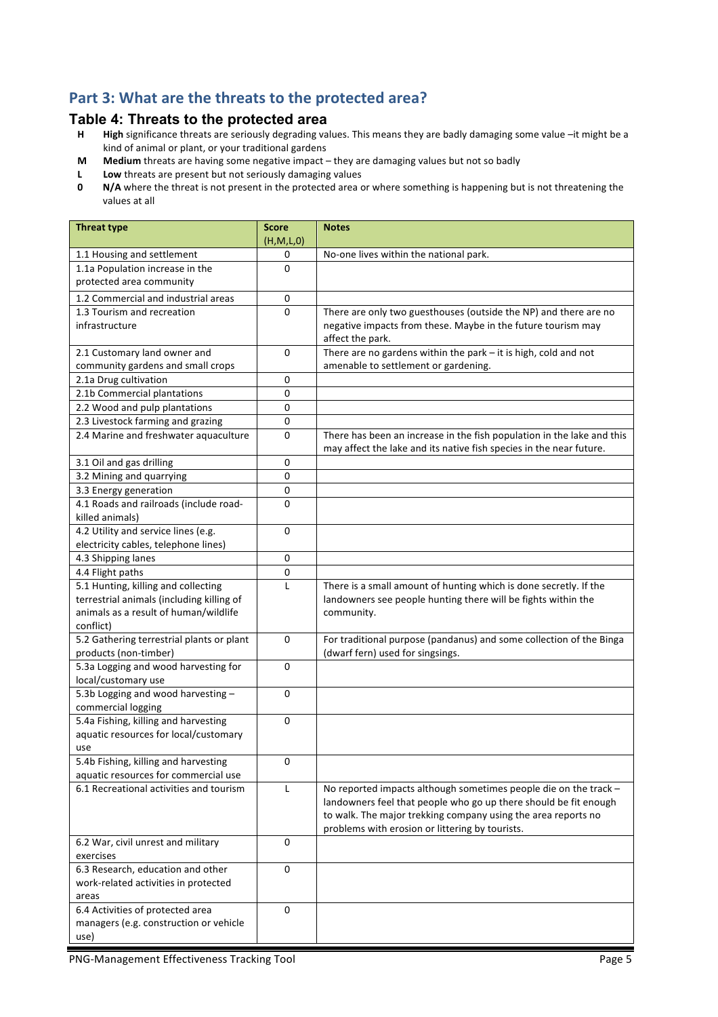### Part 3: What are the threats to the protected area?

# **Table 4: Threats to the protected area**<br>**H** High significance threats are seriously degrading va

- High significance threats are seriously degrading values. This means they are badly damaging some value -it might be a kind of animal or plant, or your traditional gardens
- **M** Medium threats are having some negative impact they are damaging values but not so badly
- **L** Low threats are present but not seriously damaging values<br>**0** N/A where the threat is not present in the protected area of
- **N/A** where the threat is not present in the protected area or where something is happening but is not threatening the values at all

| <b>Threat type</b>                                         | <b>Score</b><br>(H,M,L,0) | <b>Notes</b>                                                           |
|------------------------------------------------------------|---------------------------|------------------------------------------------------------------------|
| 1.1 Housing and settlement                                 | 0                         | No-one lives within the national park.                                 |
| 1.1a Population increase in the                            | $\Omega$                  |                                                                        |
| protected area community                                   |                           |                                                                        |
| 1.2 Commercial and industrial areas                        | 0                         |                                                                        |
| 1.3 Tourism and recreation                                 | 0                         | There are only two guesthouses (outside the NP) and there are no       |
| infrastructure                                             |                           | negative impacts from these. Maybe in the future tourism may           |
|                                                            |                           | affect the park.                                                       |
| 2.1 Customary land owner and                               | 0                         | There are no gardens within the park $-$ it is high, cold and not      |
| community gardens and small crops                          |                           | amenable to settlement or gardening.                                   |
| 2.1a Drug cultivation                                      | 0                         |                                                                        |
| 2.1b Commercial plantations                                | 0                         |                                                                        |
| 2.2 Wood and pulp plantations                              | 0                         |                                                                        |
| 2.3 Livestock farming and grazing                          | 0                         |                                                                        |
| 2.4 Marine and freshwater aquaculture                      | 0                         | There has been an increase in the fish population in the lake and this |
|                                                            |                           | may affect the lake and its native fish species in the near future.    |
| 3.1 Oil and gas drilling                                   | 0                         |                                                                        |
| 3.2 Mining and quarrying                                   | 0                         |                                                                        |
| 3.3 Energy generation                                      | 0                         |                                                                        |
| 4.1 Roads and railroads (include road-                     | $\Omega$                  |                                                                        |
| killed animals)                                            |                           |                                                                        |
| 4.2 Utility and service lines (e.g.                        | 0                         |                                                                        |
| electricity cables, telephone lines)                       |                           |                                                                        |
| 4.3 Shipping lanes                                         | 0                         |                                                                        |
| 4.4 Flight paths                                           | 0                         |                                                                        |
| 5.1 Hunting, killing and collecting                        | L                         | There is a small amount of hunting which is done secretly. If the      |
| terrestrial animals (including killing of                  |                           | landowners see people hunting there will be fights within the          |
| animals as a result of human/wildlife                      |                           | community.                                                             |
| conflict)                                                  |                           |                                                                        |
| 5.2 Gathering terrestrial plants or plant                  | 0                         | For traditional purpose (pandanus) and some collection of the Binga    |
| products (non-timber)                                      |                           | (dwarf fern) used for singsings.                                       |
| 5.3a Logging and wood harvesting for                       | 0                         |                                                                        |
| local/customary use                                        |                           |                                                                        |
| 5.3b Logging and wood harvesting -                         | 0                         |                                                                        |
| commercial logging<br>5.4a Fishing, killing and harvesting | 0                         |                                                                        |
| aquatic resources for local/customary                      |                           |                                                                        |
| use                                                        |                           |                                                                        |
| 5.4b Fishing, killing and harvesting                       | 0                         |                                                                        |
| aquatic resources for commercial use                       |                           |                                                                        |
| 6.1 Recreational activities and tourism                    | L                         | No reported impacts although sometimes people die on the track -       |
|                                                            |                           | landowners feel that people who go up there should be fit enough       |
|                                                            |                           | to walk. The major trekking company using the area reports no          |
|                                                            |                           | problems with erosion or littering by tourists.                        |
| 6.2 War, civil unrest and military                         | $\mathbf 0$               |                                                                        |
| exercises                                                  |                           |                                                                        |
| 6.3 Research, education and other                          | 0                         |                                                                        |
| work-related activities in protected                       |                           |                                                                        |
| areas                                                      |                           |                                                                        |
| 6.4 Activities of protected area                           | 0                         |                                                                        |
| managers (e.g. construction or vehicle                     |                           |                                                                        |
| use)                                                       |                           |                                                                        |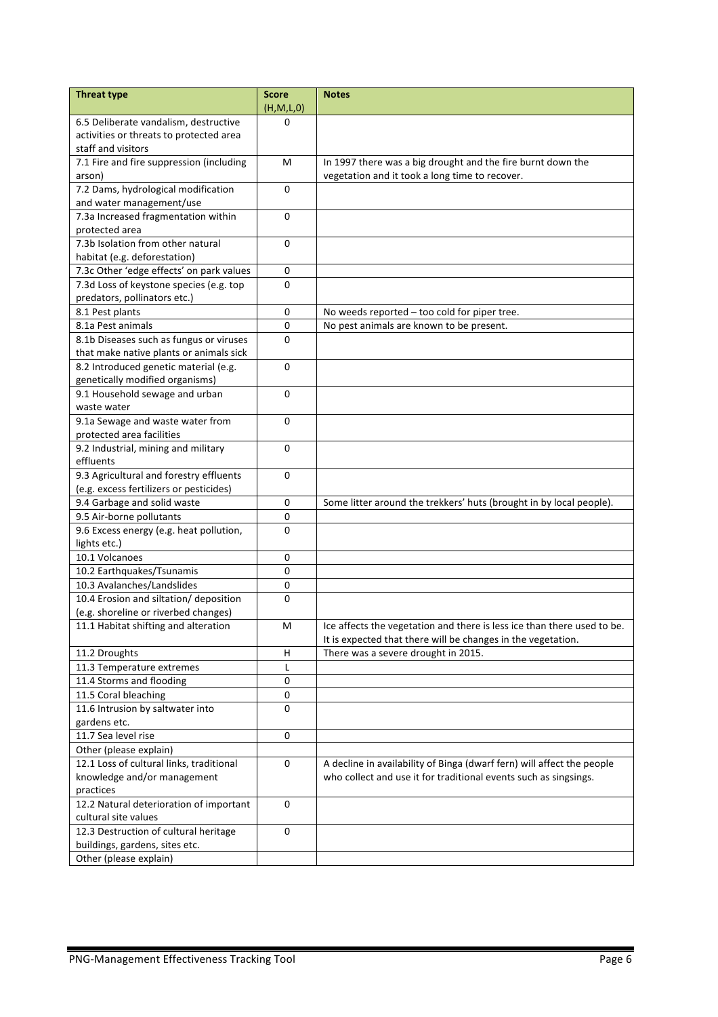| <b>Threat type</b>                                                               | <b>Score</b>   | <b>Notes</b>                                                            |
|----------------------------------------------------------------------------------|----------------|-------------------------------------------------------------------------|
|                                                                                  | (H,M,L,0)<br>0 |                                                                         |
| 6.5 Deliberate vandalism, destructive<br>activities or threats to protected area |                |                                                                         |
| staff and visitors                                                               |                |                                                                         |
| 7.1 Fire and fire suppression (including                                         | M              | In 1997 there was a big drought and the fire burnt down the             |
| arson)                                                                           |                | vegetation and it took a long time to recover.                          |
| 7.2 Dams, hydrological modification                                              | 0              |                                                                         |
| and water management/use                                                         |                |                                                                         |
| 7.3a Increased fragmentation within                                              | 0              |                                                                         |
| protected area                                                                   |                |                                                                         |
| 7.3b Isolation from other natural                                                | 0              |                                                                         |
| habitat (e.g. deforestation)                                                     |                |                                                                         |
| 7.3c Other 'edge effects' on park values                                         | $\pmb{0}$      |                                                                         |
| 7.3d Loss of keystone species (e.g. top                                          | $\mathbf 0$    |                                                                         |
| predators, pollinators etc.)                                                     |                |                                                                         |
| 8.1 Pest plants                                                                  | 0              | No weeds reported - too cold for piper tree.                            |
| 8.1a Pest animals                                                                | $\mathbf 0$    | No pest animals are known to be present.                                |
| 8.1b Diseases such as fungus or viruses                                          | $\Omega$       |                                                                         |
| that make native plants or animals sick                                          |                |                                                                         |
| 8.2 Introduced genetic material (e.g.                                            | 0              |                                                                         |
| genetically modified organisms)                                                  |                |                                                                         |
| 9.1 Household sewage and urban                                                   | $\Omega$       |                                                                         |
| waste water                                                                      |                |                                                                         |
| 9.1a Sewage and waste water from                                                 | 0              |                                                                         |
| protected area facilities                                                        |                |                                                                         |
| 9.2 Industrial, mining and military                                              | $\mathbf 0$    |                                                                         |
| effluents                                                                        |                |                                                                         |
| 9.3 Agricultural and forestry effluents                                          | 0              |                                                                         |
| (e.g. excess fertilizers or pesticides)                                          |                |                                                                         |
| 9.4 Garbage and solid waste                                                      | 0              | Some litter around the trekkers' huts (brought in by local people).     |
| 9.5 Air-borne pollutants                                                         | 0              |                                                                         |
| 9.6 Excess energy (e.g. heat pollution,                                          | $\Omega$       |                                                                         |
| lights etc.)<br>10.1 Volcanoes                                                   | 0              |                                                                         |
|                                                                                  | 0              |                                                                         |
| 10.2 Earthquakes/Tsunamis<br>10.3 Avalanches/Landslides                          | 0              |                                                                         |
| 10.4 Erosion and siltation/ deposition                                           | 0              |                                                                         |
| (e.g. shoreline or riverbed changes)                                             |                |                                                                         |
| 11.1 Habitat shifting and alteration                                             | M              | Ice affects the vegetation and there is less ice than there used to be. |
|                                                                                  |                | It is expected that there will be changes in the vegetation.            |
| 11.2 Droughts                                                                    | H              | There was a severe drought in 2015.                                     |
| 11.3 Temperature extremes                                                        | L              |                                                                         |
| 11.4 Storms and flooding                                                         | $\pmb{0}$      |                                                                         |
| 11.5 Coral bleaching                                                             | 0              |                                                                         |
| 11.6 Intrusion by saltwater into                                                 | 0              |                                                                         |
| gardens etc.                                                                     |                |                                                                         |
| 11.7 Sea level rise                                                              | $\mathbf 0$    |                                                                         |
| Other (please explain)                                                           |                |                                                                         |
| 12.1 Loss of cultural links, traditional                                         | $\mathbf 0$    | A decline in availability of Binga (dwarf fern) will affect the people  |
| knowledge and/or management                                                      |                | who collect and use it for traditional events such as singsings.        |
| practices                                                                        |                |                                                                         |
| 12.2 Natural deterioration of important                                          | 0              |                                                                         |
| cultural site values                                                             |                |                                                                         |
| 12.3 Destruction of cultural heritage                                            | 0              |                                                                         |
| buildings, gardens, sites etc.                                                   |                |                                                                         |
| Other (please explain)                                                           |                |                                                                         |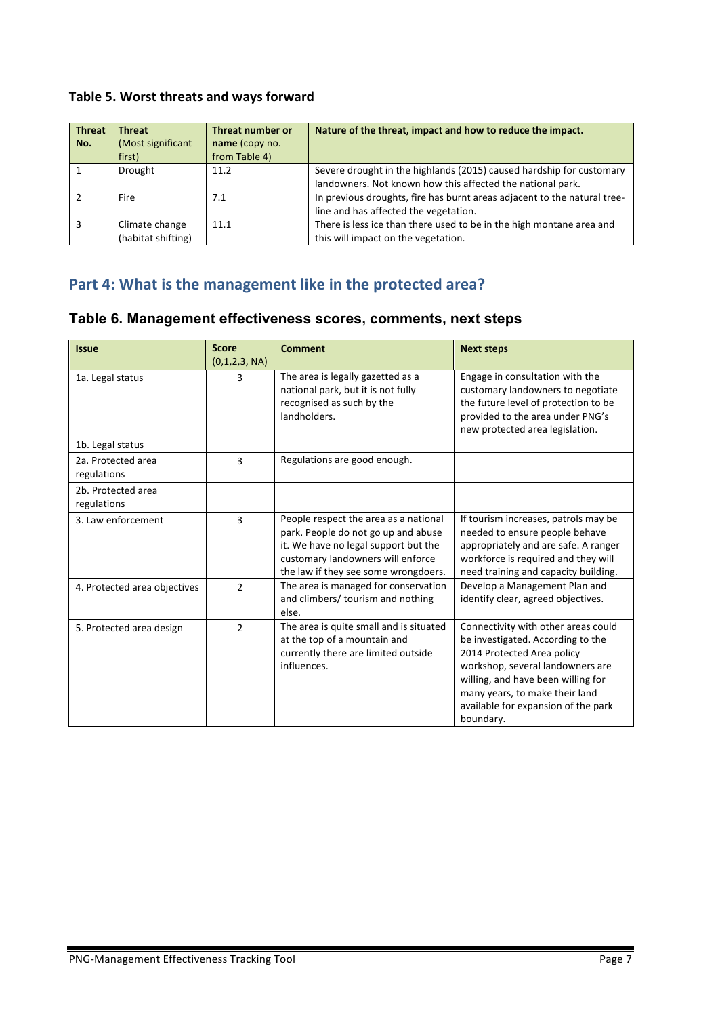### Table 5. Worst threats and ways forward

| <b>Threat</b> | <b>Threat</b>      | Threat number or | Nature of the threat, impact and how to reduce the impact.               |
|---------------|--------------------|------------------|--------------------------------------------------------------------------|
| No.           | (Most significant  | name (copy no.   |                                                                          |
|               | first)             | from Table 4)    |                                                                          |
|               | Drought            | 11.2             | Severe drought in the highlands (2015) caused hardship for customary     |
|               |                    |                  | landowners. Not known how this affected the national park.               |
|               | Fire               | 7.1              | In previous droughts, fire has burnt areas adjacent to the natural tree- |
|               |                    |                  | line and has affected the vegetation.                                    |
|               | Climate change     | 11.1             | There is less ice than there used to be in the high montane area and     |
|               | (habitat shifting) |                  | this will impact on the vegetation.                                      |

# Part 4: What is the management like in the protected area?

| Table 6. Management effectiveness scores, comments, next steps |  |
|----------------------------------------------------------------|--|
|----------------------------------------------------------------|--|

| <b>Issue</b>                      | <b>Score</b><br>(0,1,2,3, NA) | <b>Comment</b>                                                                                                                                                                                    | <b>Next steps</b>                                                                                                                                                                                                                                                      |
|-----------------------------------|-------------------------------|---------------------------------------------------------------------------------------------------------------------------------------------------------------------------------------------------|------------------------------------------------------------------------------------------------------------------------------------------------------------------------------------------------------------------------------------------------------------------------|
| 1a. Legal status                  | 3                             | The area is legally gazetted as a<br>national park, but it is not fully<br>recognised as such by the<br>landholders.                                                                              | Engage in consultation with the<br>customary landowners to negotiate<br>the future level of protection to be<br>provided to the area under PNG's<br>new protected area legislation.                                                                                    |
| 1b. Legal status                  |                               |                                                                                                                                                                                                   |                                                                                                                                                                                                                                                                        |
| 2a. Protected area<br>regulations | $\overline{3}$                | Regulations are good enough.                                                                                                                                                                      |                                                                                                                                                                                                                                                                        |
| 2b. Protected area<br>regulations |                               |                                                                                                                                                                                                   |                                                                                                                                                                                                                                                                        |
| 3. Law enforcement                | 3                             | People respect the area as a national<br>park. People do not go up and abuse<br>it. We have no legal support but the<br>customary landowners will enforce<br>the law if they see some wrongdoers. | If tourism increases, patrols may be<br>needed to ensure people behave<br>appropriately and are safe. A ranger<br>workforce is required and they will<br>need training and capacity building.                                                                          |
| 4. Protected area objectives      | $\mathcal{P}$                 | The area is managed for conservation<br>and climbers/ tourism and nothing<br>else.                                                                                                                | Develop a Management Plan and<br>identify clear, agreed objectives.                                                                                                                                                                                                    |
| 5. Protected area design          | $\overline{2}$                | The area is quite small and is situated<br>at the top of a mountain and<br>currently there are limited outside<br>influences.                                                                     | Connectivity with other areas could<br>be investigated. According to the<br>2014 Protected Area policy<br>workshop, several landowners are<br>willing, and have been willing for<br>many years, to make their land<br>available for expansion of the park<br>boundary. |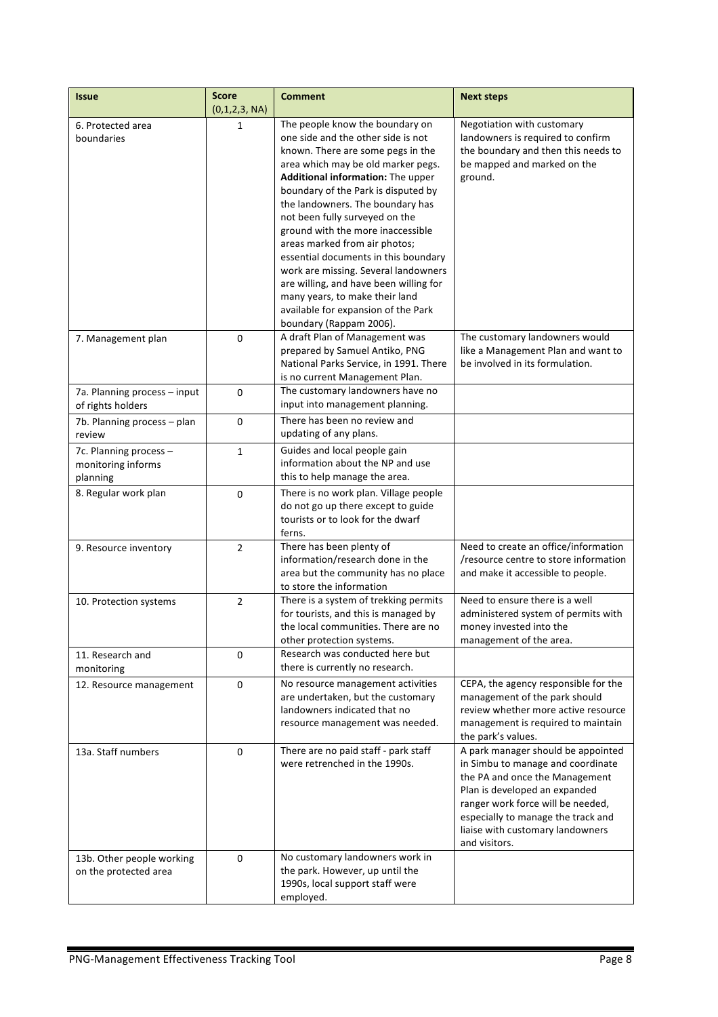| <b>Issue</b>                                             | <b>Score</b><br>(0,1,2,3, NA) | <b>Comment</b>                                                                                                                                                                                                                                                                                                                                                                                                                                                                                                                                                                                         | <b>Next steps</b>                                                                                                                                                                                                                                                          |
|----------------------------------------------------------|-------------------------------|--------------------------------------------------------------------------------------------------------------------------------------------------------------------------------------------------------------------------------------------------------------------------------------------------------------------------------------------------------------------------------------------------------------------------------------------------------------------------------------------------------------------------------------------------------------------------------------------------------|----------------------------------------------------------------------------------------------------------------------------------------------------------------------------------------------------------------------------------------------------------------------------|
| 6. Protected area<br>boundaries                          | 1                             | The people know the boundary on<br>one side and the other side is not<br>known. There are some pegs in the<br>area which may be old marker pegs.<br>Additional information: The upper<br>boundary of the Park is disputed by<br>the landowners. The boundary has<br>not been fully surveyed on the<br>ground with the more inaccessible<br>areas marked from air photos;<br>essential documents in this boundary<br>work are missing. Several landowners<br>are willing, and have been willing for<br>many years, to make their land<br>available for expansion of the Park<br>boundary (Rappam 2006). | Negotiation with customary<br>landowners is required to confirm<br>the boundary and then this needs to<br>be mapped and marked on the<br>ground.                                                                                                                           |
| 7. Management plan                                       | 0                             | A draft Plan of Management was<br>prepared by Samuel Antiko, PNG<br>National Parks Service, in 1991. There<br>is no current Management Plan.                                                                                                                                                                                                                                                                                                                                                                                                                                                           | The customary landowners would<br>like a Management Plan and want to<br>be involved in its formulation.                                                                                                                                                                    |
| 7a. Planning process - input<br>of rights holders        | 0                             | The customary landowners have no<br>input into management planning.                                                                                                                                                                                                                                                                                                                                                                                                                                                                                                                                    |                                                                                                                                                                                                                                                                            |
| 7b. Planning process - plan<br>review                    | $\mathbf 0$                   | There has been no review and<br>updating of any plans.                                                                                                                                                                                                                                                                                                                                                                                                                                                                                                                                                 |                                                                                                                                                                                                                                                                            |
| 7c. Planning process -<br>monitoring informs<br>planning | $\mathbf{1}$                  | Guides and local people gain<br>information about the NP and use<br>this to help manage the area.                                                                                                                                                                                                                                                                                                                                                                                                                                                                                                      |                                                                                                                                                                                                                                                                            |
| 8. Regular work plan                                     | 0                             | There is no work plan. Village people<br>do not go up there except to guide<br>tourists or to look for the dwarf<br>ferns.                                                                                                                                                                                                                                                                                                                                                                                                                                                                             |                                                                                                                                                                                                                                                                            |
| 9. Resource inventory                                    | $\overline{2}$                | There has been plenty of<br>information/research done in the<br>area but the community has no place<br>to store the information                                                                                                                                                                                                                                                                                                                                                                                                                                                                        | Need to create an office/information<br>resource centre to store information<br>and make it accessible to people.                                                                                                                                                          |
| 10. Protection systems                                   | $\overline{2}$                | There is a system of trekking permits<br>for tourists, and this is managed by<br>the local communities. There are no<br>other protection systems.                                                                                                                                                                                                                                                                                                                                                                                                                                                      | Need to ensure there is a well<br>administered system of permits with<br>money invested into the<br>management of the area.                                                                                                                                                |
| 11. Research and<br>monitoring                           | 0                             | Research was conducted here but<br>there is currently no research.                                                                                                                                                                                                                                                                                                                                                                                                                                                                                                                                     |                                                                                                                                                                                                                                                                            |
| 12. Resource management                                  | 0                             | No resource management activities<br>are undertaken, but the customary<br>landowners indicated that no<br>resource management was needed.                                                                                                                                                                                                                                                                                                                                                                                                                                                              | CEPA, the agency responsible for the<br>management of the park should<br>review whether more active resource<br>management is required to maintain<br>the park's values.                                                                                                   |
| 13a. Staff numbers                                       | $\mathbf 0$                   | There are no paid staff - park staff<br>were retrenched in the 1990s.                                                                                                                                                                                                                                                                                                                                                                                                                                                                                                                                  | A park manager should be appointed<br>in Simbu to manage and coordinate<br>the PA and once the Management<br>Plan is developed an expanded<br>ranger work force will be needed,<br>especially to manage the track and<br>liaise with customary landowners<br>and visitors. |
| 13b. Other people working<br>on the protected area       | 0                             | No customary landowners work in<br>the park. However, up until the<br>1990s, local support staff were<br>employed.                                                                                                                                                                                                                                                                                                                                                                                                                                                                                     |                                                                                                                                                                                                                                                                            |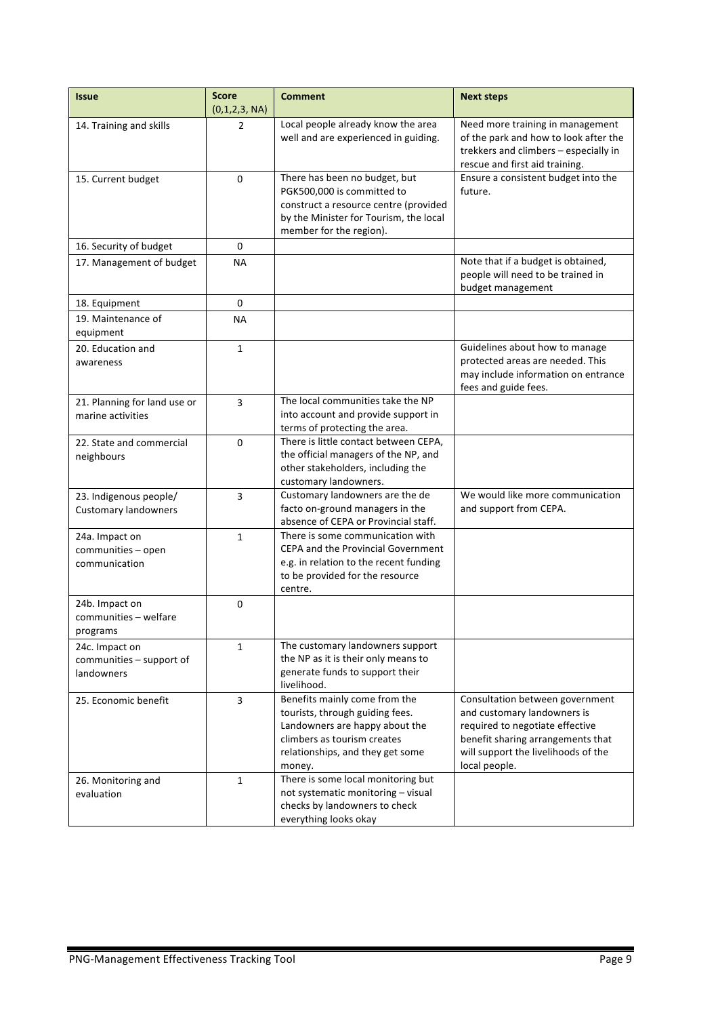| <b>Issue</b>                                             | <b>Score</b><br>(0,1,2,3, NA) | <b>Comment</b>                                                                                                                                                                  | <b>Next steps</b>                                                                                                                                                                              |
|----------------------------------------------------------|-------------------------------|---------------------------------------------------------------------------------------------------------------------------------------------------------------------------------|------------------------------------------------------------------------------------------------------------------------------------------------------------------------------------------------|
| 14. Training and skills                                  | 2                             | Local people already know the area<br>well and are experienced in guiding.                                                                                                      | Need more training in management<br>of the park and how to look after the<br>trekkers and climbers - especially in<br>rescue and first aid training.                                           |
| 15. Current budget                                       | $\Omega$                      | There has been no budget, but<br>PGK500,000 is committed to<br>construct a resource centre (provided<br>by the Minister for Tourism, the local<br>member for the region).       | Ensure a consistent budget into the<br>future.                                                                                                                                                 |
| 16. Security of budget                                   | 0                             |                                                                                                                                                                                 |                                                                                                                                                                                                |
| 17. Management of budget                                 | NA.                           |                                                                                                                                                                                 | Note that if a budget is obtained,<br>people will need to be trained in<br>budget management                                                                                                   |
| 18. Equipment                                            | 0                             |                                                                                                                                                                                 |                                                                                                                                                                                                |
| 19. Maintenance of<br>equipment                          | ΝA                            |                                                                                                                                                                                 |                                                                                                                                                                                                |
| 20. Education and<br>awareness                           | $\mathbf{1}$                  |                                                                                                                                                                                 | Guidelines about how to manage<br>protected areas are needed. This<br>may include information on entrance<br>fees and guide fees.                                                              |
| 21. Planning for land use or<br>marine activities        | 3                             | The local communities take the NP<br>into account and provide support in<br>terms of protecting the area.                                                                       |                                                                                                                                                                                                |
| 22. State and commercial<br>neighbours                   | 0                             | There is little contact between CEPA,<br>the official managers of the NP, and<br>other stakeholders, including the<br>customary landowners.                                     |                                                                                                                                                                                                |
| 23. Indigenous people/<br><b>Customary landowners</b>    | 3                             | Customary landowners are the de<br>facto on-ground managers in the<br>absence of CEPA or Provincial staff.                                                                      | We would like more communication<br>and support from CEPA.                                                                                                                                     |
| 24a. Impact on<br>communities - open<br>communication    | $\mathbf{1}$                  | There is some communication with<br><b>CEPA and the Provincial Government</b><br>e.g. in relation to the recent funding<br>to be provided for the resource<br>centre.           |                                                                                                                                                                                                |
| 24b. Impact on<br>communities - welfare<br>programs      | 0                             |                                                                                                                                                                                 |                                                                                                                                                                                                |
| 24c. Impact on<br>communities - support of<br>landowners | 1                             | The customary landowners support<br>the NP as it is their only means to<br>generate funds to support their<br>livelihood.                                                       |                                                                                                                                                                                                |
| 25. Economic benefit                                     | 3                             | Benefits mainly come from the<br>tourists, through guiding fees.<br>Landowners are happy about the<br>climbers as tourism creates<br>relationships, and they get some<br>money. | Consultation between government<br>and customary landowners is<br>required to negotiate effective<br>benefit sharing arrangements that<br>will support the livelihoods of the<br>local people. |
| 26. Monitoring and<br>evaluation                         | $\mathbf{1}$                  | There is some local monitoring but<br>not systematic monitoring - visual<br>checks by landowners to check<br>everything looks okay                                              |                                                                                                                                                                                                |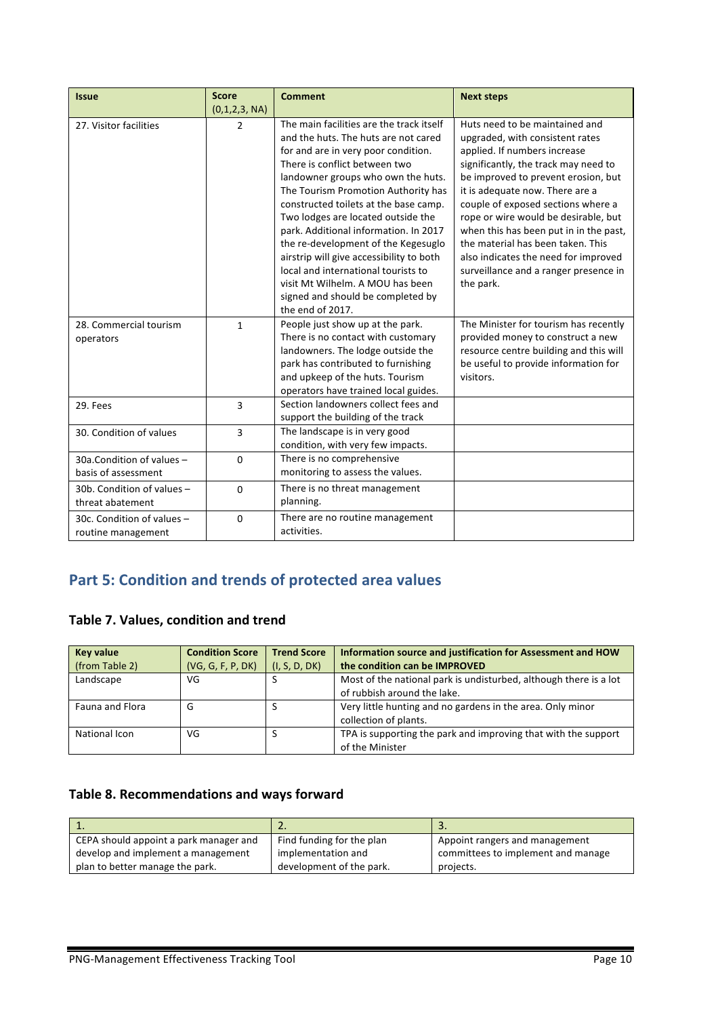| <b>Issue</b>               | <b>Score</b>  | <b>Comment</b>                           | <b>Next steps</b>                      |
|----------------------------|---------------|------------------------------------------|----------------------------------------|
|                            | (0,1,2,3, NA) |                                          |                                        |
| 27. Visitor facilities     | 2             | The main facilities are the track itself | Huts need to be maintained and         |
|                            |               | and the huts. The huts are not cared     | upgraded, with consistent rates        |
|                            |               | for and are in very poor condition.      | applied. If numbers increase           |
|                            |               | There is conflict between two            | significantly, the track may need to   |
|                            |               | landowner groups who own the huts.       | be improved to prevent erosion, but    |
|                            |               | The Tourism Promotion Authority has      | it is adequate now. There are a        |
|                            |               | constructed toilets at the base camp.    | couple of exposed sections where a     |
|                            |               | Two lodges are located outside the       | rope or wire would be desirable, but   |
|                            |               | park. Additional information. In 2017    | when this has been put in in the past, |
|                            |               | the re-development of the Kegesuglo      | the material has been taken. This      |
|                            |               | airstrip will give accessibility to both | also indicates the need for improved   |
|                            |               | local and international tourists to      | surveillance and a ranger presence in  |
|                            |               | visit Mt Wilhelm, A MOU has been         | the park.                              |
|                            |               | signed and should be completed by        |                                        |
|                            |               | the end of 2017.                         |                                        |
| 28. Commercial tourism     | $\mathbf{1}$  | People just show up at the park.         | The Minister for tourism has recently  |
| operators                  |               | There is no contact with customary       | provided money to construct a new      |
|                            |               | landowners. The lodge outside the        | resource centre building and this will |
|                            |               | park has contributed to furnishing       | be useful to provide information for   |
|                            |               | and upkeep of the huts. Tourism          | visitors.                              |
|                            |               | operators have trained local guides.     |                                        |
| 29. Fees                   | 3             | Section landowners collect fees and      |                                        |
|                            |               | support the building of the track        |                                        |
| 30. Condition of values    | 3             | The landscape is in very good            |                                        |
|                            |               | condition, with very few impacts.        |                                        |
| 30a.Condition of values -  | 0             | There is no comprehensive                |                                        |
| basis of assessment        |               | monitoring to assess the values.         |                                        |
| 30b. Condition of values - | $\Omega$      | There is no threat management            |                                        |
| threat abatement           |               | planning.                                |                                        |
| 30c. Condition of values - | $\mathbf 0$   | There are no routine management          |                                        |
| routine management         |               | activities.                              |                                        |

# **Part 5: Condition and trends of protected area values**

## **Table 7. Values, condition and trend**

| <b>Key value</b><br>(from Table 2) | <b>Condition Score</b><br>(VG, G, F, P, DK) | <b>Trend Score</b><br>(I, S, D, DK) | Information source and justification for Assessment and HOW<br>the condition can be IMPROVED     |
|------------------------------------|---------------------------------------------|-------------------------------------|--------------------------------------------------------------------------------------------------|
| Landscape                          | VG                                          |                                     | Most of the national park is undisturbed, although there is a lot<br>of rubbish around the lake. |
| Fauna and Flora                    | G                                           |                                     | Very little hunting and no gardens in the area. Only minor<br>collection of plants.              |
| National Icon                      | VG                                          |                                     | TPA is supporting the park and improving that with the support<br>of the Minister                |

### Table 8. Recommendations and ways forward

|                                        | <u>.</u>                  | . .                                |
|----------------------------------------|---------------------------|------------------------------------|
| CEPA should appoint a park manager and | Find funding for the plan | Appoint rangers and management     |
| develop and implement a management     | implementation and        | committees to implement and manage |
| plan to better manage the park.        | development of the park.  | projects.                          |